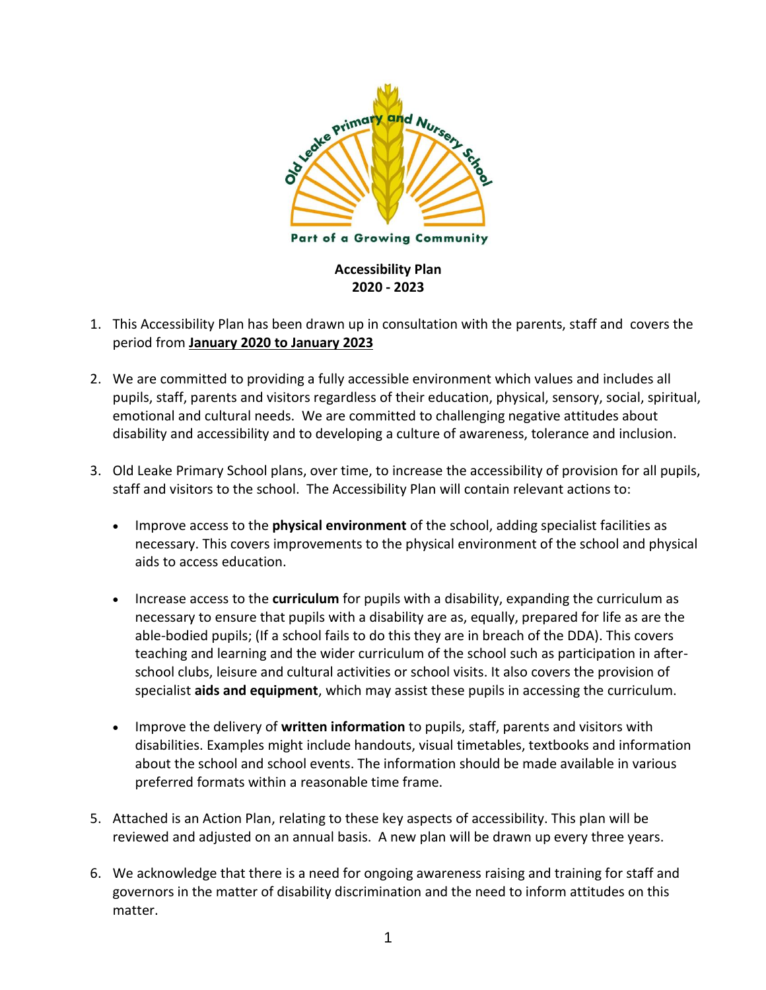

- 1. This Accessibility Plan has been drawn up in consultation with the parents, staff and covers the period from **January 2020 to January 2023**
- 2. We are committed to providing a fully accessible environment which values and includes all pupils, staff, parents and visitors regardless of their education, physical, sensory, social, spiritual, emotional and cultural needs. We are committed to challenging negative attitudes about disability and accessibility and to developing a culture of awareness, tolerance and inclusion.
- 3. Old Leake Primary School plans, over time, to increase the accessibility of provision for all pupils, staff and visitors to the school. The Accessibility Plan will contain relevant actions to:
	- Improve access to the **physical environment** of the school, adding specialist facilities as necessary. This covers improvements to the physical environment of the school and physical aids to access education.
	- Increase access to the **curriculum** for pupils with a disability, expanding the curriculum as necessary to ensure that pupils with a disability are as, equally, prepared for life as are the able-bodied pupils; (If a school fails to do this they are in breach of the DDA). This covers teaching and learning and the wider curriculum of the school such as participation in afterschool clubs, leisure and cultural activities or school visits. It also covers the provision of specialist **aids and equipment**, which may assist these pupils in accessing the curriculum.
	- Improve the delivery of **written information** to pupils, staff, parents and visitors with disabilities. Examples might include handouts, visual timetables, textbooks and information about the school and school events. The information should be made available in various preferred formats within a reasonable time frame.
- 5. Attached is an Action Plan, relating to these key aspects of accessibility. This plan will be reviewed and adjusted on an annual basis. A new plan will be drawn up every three years.
- 6. We acknowledge that there is a need for ongoing awareness raising and training for staff and governors in the matter of disability discrimination and the need to inform attitudes on this matter.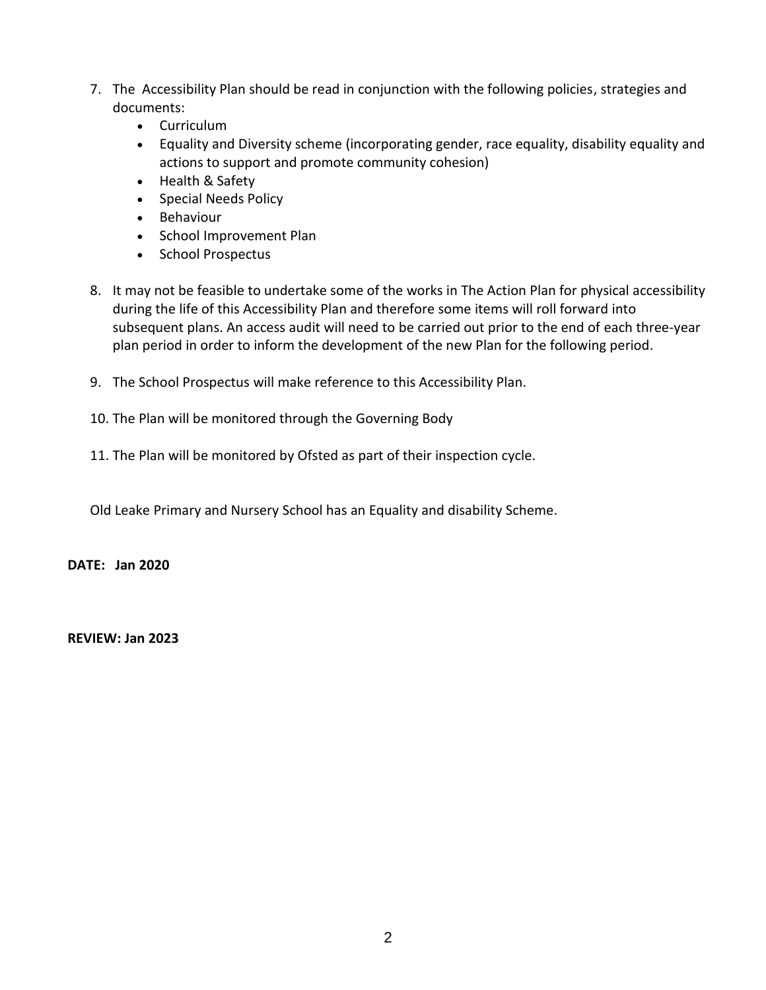- 7. The Accessibility Plan should be read in conjunction with the following policies, strategies and documents:
	- Curriculum
	- Equality and Diversity scheme (incorporating gender, race equality, disability equality and actions to support and promote community cohesion)
	- Health & Safety
	- Special Needs Policy
	- Behaviour
	- School Improvement Plan
	- School Prospectus
- 8. It may not be feasible to undertake some of the works in The Action Plan for physical accessibility during the life of this Accessibility Plan and therefore some items will roll forward into subsequent plans. An access audit will need to be carried out prior to the end of each three-year plan period in order to inform the development of the new Plan for the following period.
- 9. The School Prospectus will make reference to this Accessibility Plan.
- 10. The Plan will be monitored through the Governing Body
- 11. The Plan will be monitored by Ofsted as part of their inspection cycle.

Old Leake Primary and Nursery School has an Equality and disability Scheme.

**DATE: Jan 2020**

**REVIEW: Jan 2023**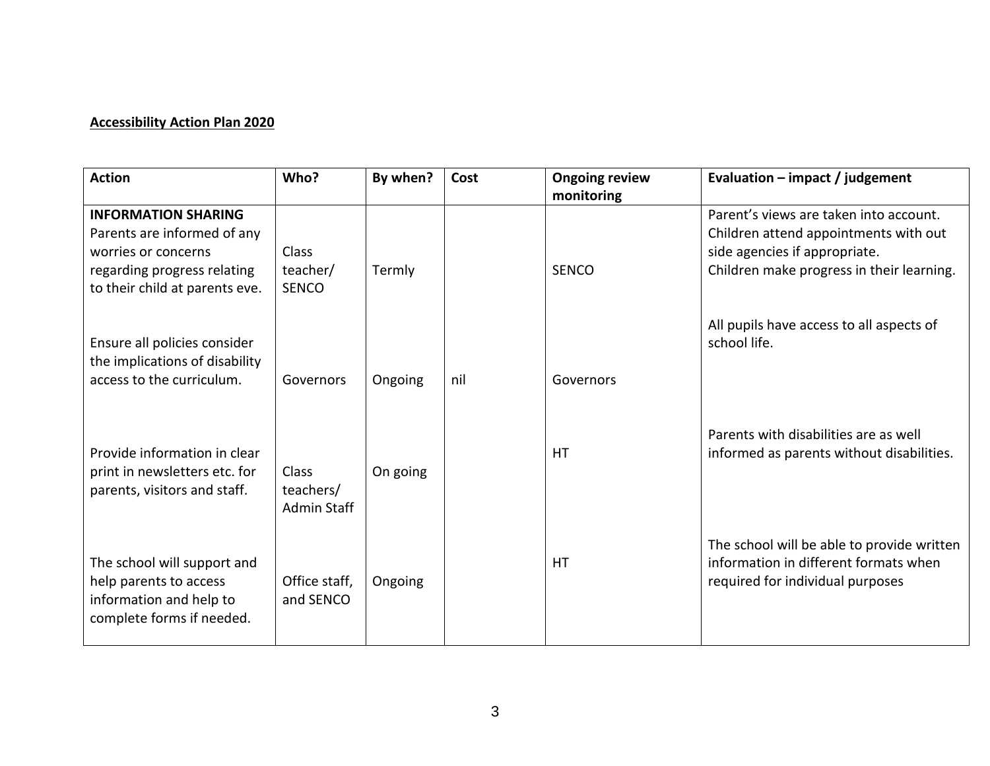## **Accessibility Action Plan 2020**

| <b>Action</b>                                                                                                                                     | Who?                                     | By when? | Cost | <b>Ongoing review</b><br>monitoring | Evaluation $-$ impact / judgement                                                                                                                             |
|---------------------------------------------------------------------------------------------------------------------------------------------------|------------------------------------------|----------|------|-------------------------------------|---------------------------------------------------------------------------------------------------------------------------------------------------------------|
| <b>INFORMATION SHARING</b><br>Parents are informed of any<br>worries or concerns<br>regarding progress relating<br>to their child at parents eve. | Class<br>teacher/<br><b>SENCO</b>        | Termly   |      | <b>SENCO</b>                        | Parent's views are taken into account.<br>Children attend appointments with out<br>side agencies if appropriate.<br>Children make progress in their learning. |
| Ensure all policies consider<br>the implications of disability<br>access to the curriculum.                                                       | Governors                                | Ongoing  | nil  | Governors                           | All pupils have access to all aspects of<br>school life.                                                                                                      |
| Provide information in clear<br>print in newsletters etc. for<br>parents, visitors and staff.                                                     | Class<br>teachers/<br><b>Admin Staff</b> | On going |      | <b>HT</b>                           | Parents with disabilities are as well<br>informed as parents without disabilities.                                                                            |
| The school will support and<br>help parents to access<br>information and help to<br>complete forms if needed.                                     | Office staff,<br>and SENCO               | Ongoing  |      | <b>HT</b>                           | The school will be able to provide written<br>information in different formats when<br>required for individual purposes                                       |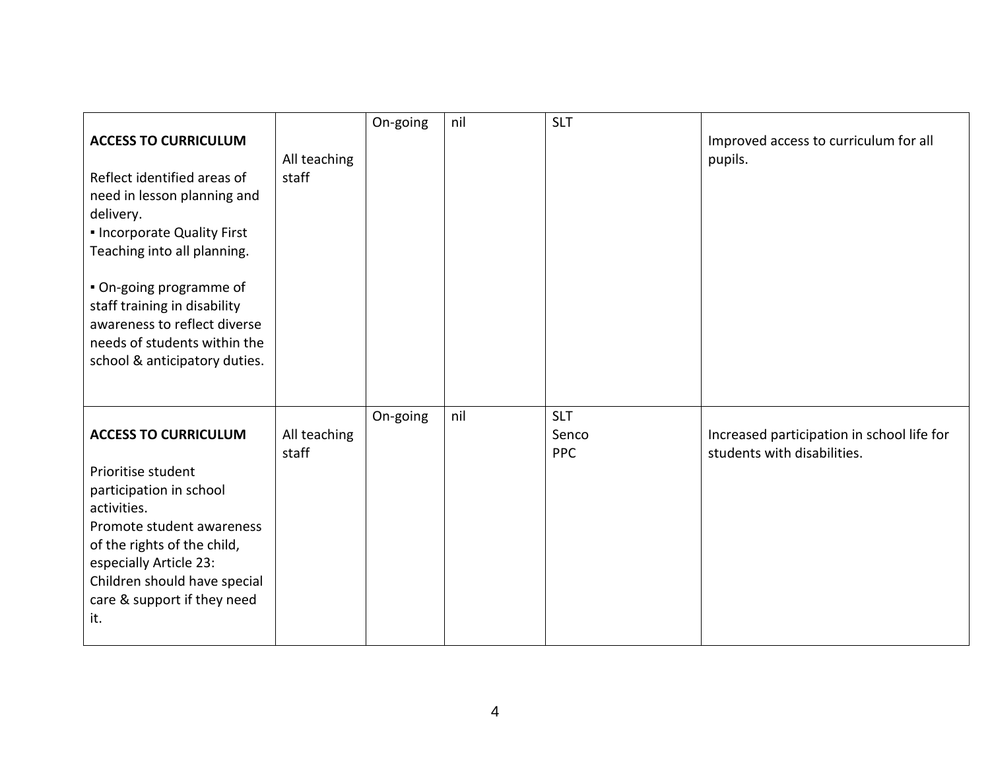| <b>ACCESS TO CURRICULUM</b><br>Reflect identified areas of<br>need in lesson planning and<br>delivery.<br>. Incorporate Quality First<br>Teaching into all planning.<br>. On-going programme of<br>staff training in disability<br>awareness to reflect diverse<br>needs of students within the<br>school & anticipatory duties. | All teaching<br>staff | On-going | nil | <b>SLT</b>                        | Improved access to curriculum for all<br>pupils.                          |
|----------------------------------------------------------------------------------------------------------------------------------------------------------------------------------------------------------------------------------------------------------------------------------------------------------------------------------|-----------------------|----------|-----|-----------------------------------|---------------------------------------------------------------------------|
| <b>ACCESS TO CURRICULUM</b><br>Prioritise student<br>participation in school<br>activities.<br>Promote student awareness<br>of the rights of the child,<br>especially Article 23:<br>Children should have special<br>care & support if they need<br>it.                                                                          | All teaching<br>staff | On-going | nil | <b>SLT</b><br>Senco<br><b>PPC</b> | Increased participation in school life for<br>students with disabilities. |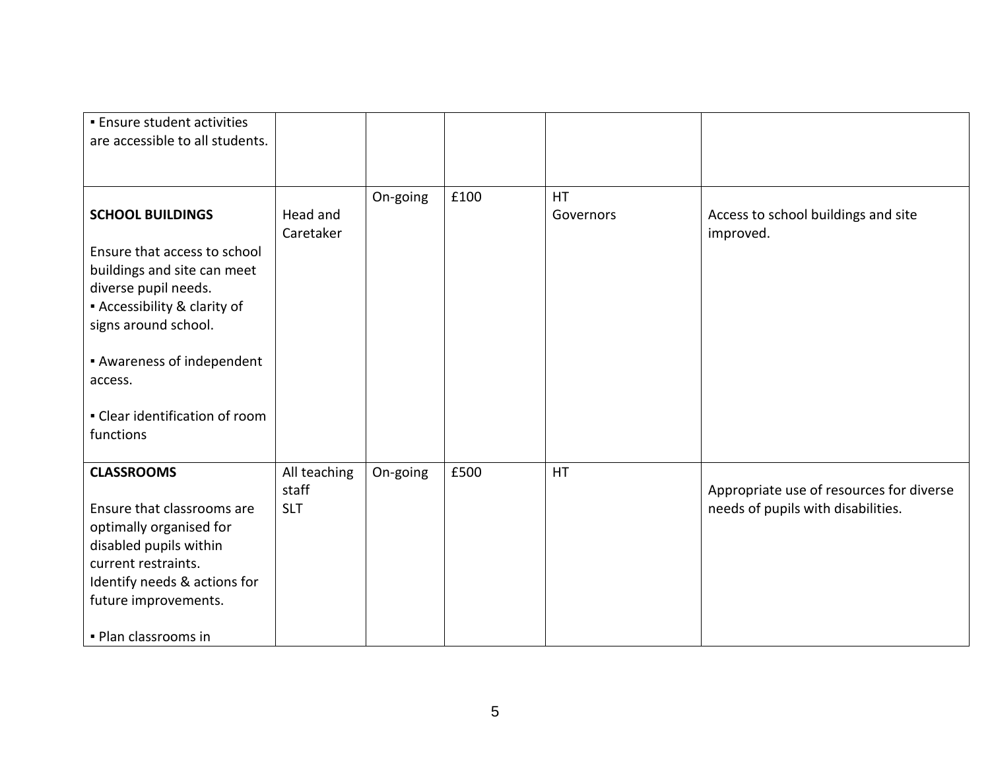| <b>Ensure student activities</b><br>are accessible to all students.                                                                                                                                                           |                                     |          |      |                        |                                                                                |
|-------------------------------------------------------------------------------------------------------------------------------------------------------------------------------------------------------------------------------|-------------------------------------|----------|------|------------------------|--------------------------------------------------------------------------------|
|                                                                                                                                                                                                                               |                                     |          |      |                        |                                                                                |
| <b>SCHOOL BUILDINGS</b><br>Ensure that access to school<br>buildings and site can meet<br>diverse pupil needs.<br><b>Accessibility &amp; clarity of</b><br>signs around school.<br><b>Awareness of independent</b><br>access. | Head and<br>Caretaker               | On-going | £100 | <b>HT</b><br>Governors | Access to school buildings and site<br>improved.                               |
| • Clear identification of room<br>functions                                                                                                                                                                                   |                                     |          |      |                        |                                                                                |
| <b>CLASSROOMS</b><br>Ensure that classrooms are<br>optimally organised for<br>disabled pupils within<br>current restraints.<br>Identify needs & actions for<br>future improvements.<br>- Plan classrooms in                   | All teaching<br>staff<br><b>SLT</b> | On-going | £500 | <b>HT</b>              | Appropriate use of resources for diverse<br>needs of pupils with disabilities. |
|                                                                                                                                                                                                                               |                                     |          |      |                        |                                                                                |